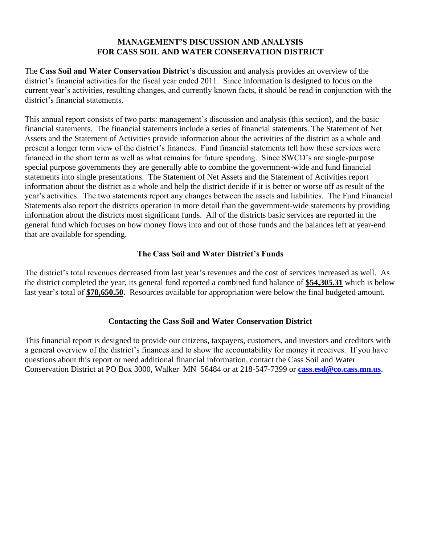# **MANAGEMENT'S DISCUSSION AND ANALYSIS FOR CASS SOIL AND WATER CONSERVATION DISTRICT**

The **Cass Soil and Water Conservation District's** discussion and analysis provides an overview of the district's financial activities for the fiscal year ended 2011. Since information is designed to focus on the current year's activities, resulting changes, and currently known facts, it should be read in conjunction with the district's financial statements.

This annual report consists of two parts: management's discussion and analysis (this section), and the basic financial statements. The financial statements include a series of financial statements. The Statement of Net Assets and the Statement of Activities provide information about the activities of the district as a whole and present a longer term view of the district's finances. Fund financial statements tell how these services were financed in the short term as well as what remains for future spending. Since SWCD's are single-purpose special purpose governments they are generally able to combine the government-wide and fund financial statements into single presentations. The Statement of Net Assets and the Statement of Activities report information about the district as a whole and help the district decide if it is better or worse off as result of the year's activities. The two statements report any changes between the assets and liabilities. The Fund Financial Statements also report the districts operation in more detail than the government-wide statements by providing information about the districts most significant funds. All of the districts basic services are reported in the general fund which focuses on how money flows into and out of those funds and the balances left at year-end that are available for spending.

# **The Cass Soil and Water District's Funds**

The district's total revenues decreased from last year's revenues and the cost of services increased as well. As the district completed the year, its general fund reported a combined fund balance of **\$54,305.31** which is below last year's total of **\$78,650.50**. Resources available for appropriation were below the final budgeted amount.

# **Contacting the Cass Soil and Water Conservation District**

This financial report is designed to provide our citizens, taxpayers, customers, and investors and creditors with a general overview of the district's finances and to show the accountability for money it receives. If you have questions about this report or need additional financial information, contact the Cass Soil and Water Conservation District at PO Box 3000, Walker MN 56484 or at 218-547-7399 or **[cass.esd@co.cass.mn.us](mailto:cass.esd@co.cass.mn.us)**.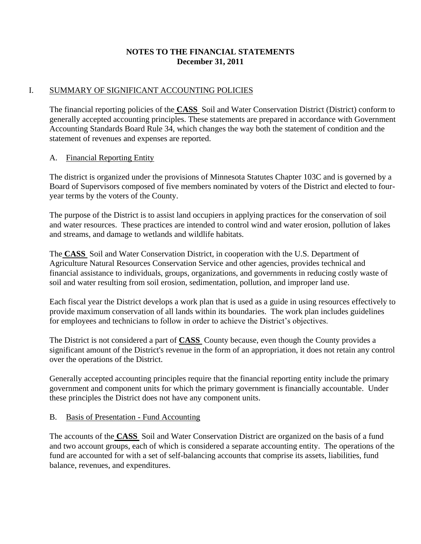# **NOTES TO THE FINANCIAL STATEMENTS December 31, 2011**

# I. SUMMARY OF SIGNIFICANT ACCOUNTING POLICIES

The financial reporting policies of the **CASS** Soil and Water Conservation District (District) conform to generally accepted accounting principles. These statements are prepared in accordance with Government Accounting Standards Board Rule 34, which changes the way both the statement of condition and the statement of revenues and expenses are reported.

# A. Financial Reporting Entity

The district is organized under the provisions of Minnesota Statutes Chapter 103C and is governed by a Board of Supervisors composed of five members nominated by voters of the District and elected to fouryear terms by the voters of the County.

The purpose of the District is to assist land occupiers in applying practices for the conservation of soil and water resources. These practices are intended to control wind and water erosion, pollution of lakes and streams, and damage to wetlands and wildlife habitats.

The **CASS** Soil and Water Conservation District, in cooperation with the U.S. Department of Agriculture Natural Resources Conservation Service and other agencies, provides technical and financial assistance to individuals, groups, organizations, and governments in reducing costly waste of soil and water resulting from soil erosion, sedimentation, pollution, and improper land use.

Each fiscal year the District develops a work plan that is used as a guide in using resources effectively to provide maximum conservation of all lands within its boundaries. The work plan includes guidelines for employees and technicians to follow in order to achieve the District's objectives.

The District is not considered a part of **CASS** County because, even though the County provides a significant amount of the District's revenue in the form of an appropriation, it does not retain any control over the operations of the District.

Generally accepted accounting principles require that the financial reporting entity include the primary government and component units for which the primary government is financially accountable. Under these principles the District does not have any component units.

#### B. Basis of Presentation - Fund Accounting

The accounts of the **CASS** Soil and Water Conservation District are organized on the basis of a fund and two account groups, each of which is considered a separate accounting entity. The operations of the fund are accounted for with a set of self-balancing accounts that comprise its assets, liabilities, fund balance, revenues, and expenditures.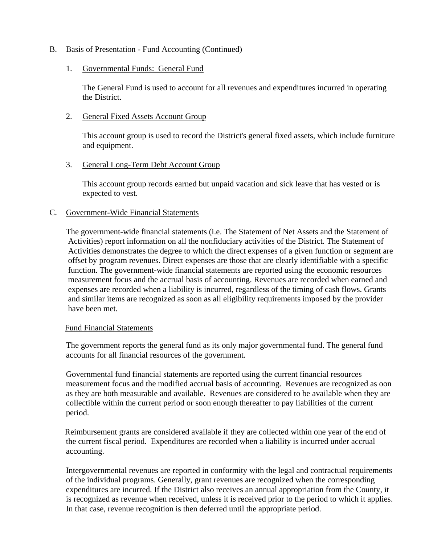## B. Basis of Presentation - Fund Accounting (Continued)

#### 1. Governmental Funds: General Fund

The General Fund is used to account for all revenues and expenditures incurred in operating the District.

#### 2. General Fixed Assets Account Group

This account group is used to record the District's general fixed assets, which include furniture and equipment.

## 3. General Long-Term Debt Account Group

This account group records earned but unpaid vacation and sick leave that has vested or is expected to vest.

## C. Government-Wide Financial Statements

The government-wide financial statements (i.e. The Statement of Net Assets and the Statement of Activities) report information on all the nonfiduciary activities of the District. The Statement of Activities demonstrates the degree to which the direct expenses of a given function or segment are offset by program revenues. Direct expenses are those that are clearly identifiable with a specific function. The government-wide financial statements are reported using the economic resources measurement focus and the accrual basis of accounting. Revenues are recorded when earned and expenses are recorded when a liability is incurred, regardless of the timing of cash flows. Grants and similar items are recognized as soon as all eligibility requirements imposed by the provider have been met.

#### Fund Financial Statements

The government reports the general fund as its only major governmental fund. The general fund accounts for all financial resources of the government.

Governmental fund financial statements are reported using the current financial resources measurement focus and the modified accrual basis of accounting. Revenues are recognized as oon as they are both measurable and available. Revenues are considered to be available when they are collectible within the current period or soon enough thereafter to pay liabilities of the current period.

Reimbursement grants are considered available if they are collected within one year of the end of the current fiscal period. Expenditures are recorded when a liability is incurred under accrual accounting.

Intergovernmental revenues are reported in conformity with the legal and contractual requirements of the individual programs. Generally, grant revenues are recognized when the corresponding expenditures are incurred. If the District also receives an annual appropriation from the County, it is recognized as revenue when received, unless it is received prior to the period to which it applies. In that case, revenue recognition is then deferred until the appropriate period.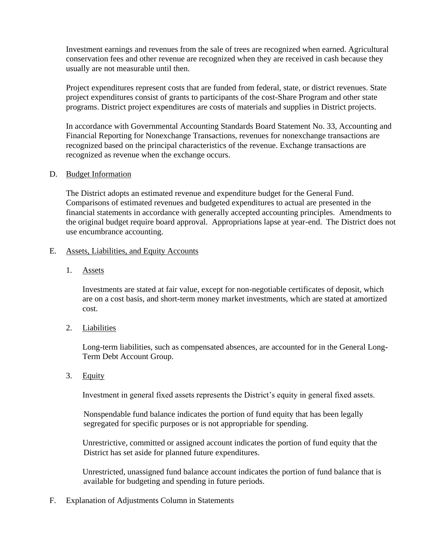Investment earnings and revenues from the sale of trees are recognized when earned. Agricultural conservation fees and other revenue are recognized when they are received in cash because they usually are not measurable until then.

Project expenditures represent costs that are funded from federal, state, or district revenues. State project expenditures consist of grants to participants of the cost-Share Program and other state programs. District project expenditures are costs of materials and supplies in District projects.

In accordance with Governmental Accounting Standards Board Statement No. 33, Accounting and Financial Reporting for Nonexchange Transactions, revenues for nonexchange transactions are recognized based on the principal characteristics of the revenue. Exchange transactions are recognized as revenue when the exchange occurs.

## D. Budget Information

The District adopts an estimated revenue and expenditure budget for the General Fund. Comparisons of estimated revenues and budgeted expenditures to actual are presented in the financial statements in accordance with generally accepted accounting principles. Amendments to the original budget require board approval. Appropriations lapse at year-end. The District does not use encumbrance accounting.

## E. Assets, Liabilities, and Equity Accounts

1. Assets

Investments are stated at fair value, except for non-negotiable certificates of deposit, which are on a cost basis, and short-term money market investments, which are stated at amortized cost.

2. Liabilities

Long-term liabilities, such as compensated absences, are accounted for in the General Long-Term Debt Account Group.

3. Equity

Investment in general fixed assets represents the District's equity in general fixed assets.

Nonspendable fund balance indicates the portion of fund equity that has been legally segregated for specific purposes or is not appropriable for spending.

Unrestrictive, committed or assigned account indicates the portion of fund equity that the District has set aside for planned future expenditures.

Unrestricted, unassigned fund balance account indicates the portion of fund balance that is available for budgeting and spending in future periods.

F. Explanation of Adjustments Column in Statements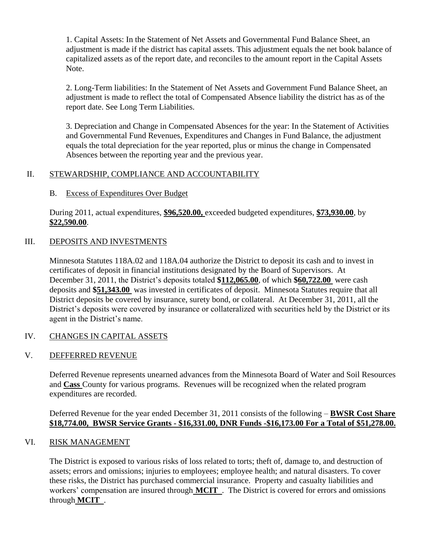1. Capital Assets: In the Statement of Net Assets and Governmental Fund Balance Sheet, an adjustment is made if the district has capital assets. This adjustment equals the net book balance of capitalized assets as of the report date, and reconciles to the amount report in the Capital Assets Note.

2. Long-Term liabilities: In the Statement of Net Assets and Government Fund Balance Sheet, an adjustment is made to reflect the total of Compensated Absence liability the district has as of the report date. See Long Term Liabilities.

3. Depreciation and Change in Compensated Absences for the year: In the Statement of Activities and Governmental Fund Revenues, Expenditures and Changes in Fund Balance, the adjustment equals the total depreciation for the year reported, plus or minus the change in Compensated Absences between the reporting year and the previous year.

# II. STEWARDSHIP, COMPLIANCE AND ACCOUNTABILITY

# B. Excess of Expenditures Over Budget

During 2011, actual expenditures, **\$96,520.00,** exceeded budgeted expenditures, **\$73,930.00**, by **\$22,590.00**.

# III. DEPOSITS AND INVESTMENTS

Minnesota Statutes 118A.02 and 118A.04 authorize the District to deposit its cash and to invest in certificates of deposit in financial institutions designated by the Board of Supervisors. At December 31, 2011, the District's deposits totaled **\$112,065.00**, of which **\$60,722.00** were cash deposits and **\$51,343.00** was invested in certificates of deposit. Minnesota Statutes require that all District deposits be covered by insurance, surety bond, or collateral. At December 31, 2011, all the District's deposits were covered by insurance or collateralized with securities held by the District or its agent in the District's name.

# IV. CHANGES IN CAPITAL ASSETS

# V. DEFFERRED REVENUE

Deferred Revenue represents unearned advances from the Minnesota Board of Water and Soil Resources and **Cass** County for various programs. Revenues will be recognized when the related program expenditures are recorded.

## Deferred Revenue for the year ended December 31, 2011 consists of the following – **BWSR Cost Share \$18,774.00, BWSR Service Grants - \$16,331.00, DNR Funds -\$16,173.00 For a Total of \$51,278.00.**

# VI. RISK MANAGEMENT

The District is exposed to various risks of loss related to torts; theft of, damage to, and destruction of assets; errors and omissions; injuries to employees; employee health; and natural disasters. To cover these risks, the District has purchased commercial insurance. Property and casualty liabilities and workers' compensation are insured through **MCIT** . The District is covered for errors and omissions through **MCIT** .